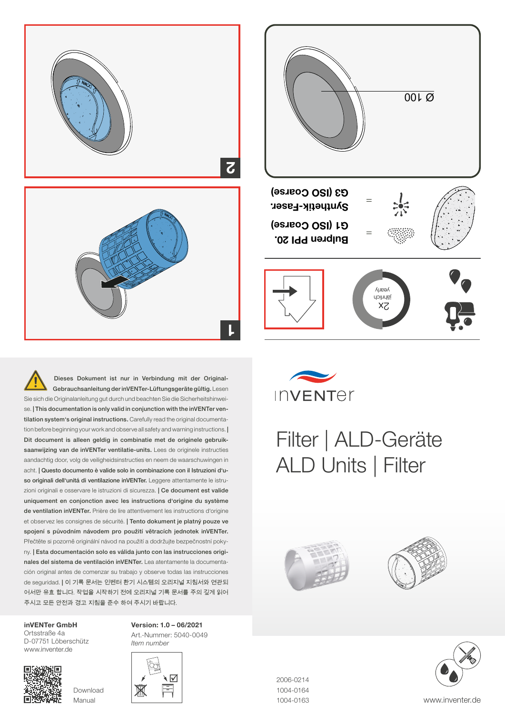

Dieses Dokument ist nur in Verbindung mit der Original-Gebrauchsanleitung der inVENTer-Lüftungsgeräte gültig. Lesen Sie sich die Originalanleitung gut durch und beachten Sie die Sicherheitshinweise. | This documentation is only valid in conjunction with the inVENTer ventilation system's original instructions. Carefully read the original documentation before beginning your work and observe all safety and warning instructions. | Dit document is alleen geldig in combinatie met de originele gebruiksaanwijzing van de inVENTer ventilatie-units. Lees de originele instructies aandachtig door, volg de veiligheidsinstructies en neem de waarschuwingen in acht. | Questo documento è valide solo in combinazione con il Istruzioni d'uso originali dell'unitá di ventilazione inVENTer. Leggere attentamente le istruzioni originali e osservare le istruzioni di sicurezza. | Ce document est valide uniquement en conjonction avec les instructions d'origine du système de ventilation inVENTer. Prière de lire attentivement les instructions d'origine et observez les consignes de sécurité. | Tento dokument je platný pouze ve spojení s původním návodem pro použití větracích jednotek inVENTer. Přečtěte si pozorně originální návod na použití a dodržujte bezpečnostní pokyny. | Esta documentación solo es válida junto con las instrucciones originales del sistema de ventilación inVENTer. Lea atentamente la documentación original antes de comenzar su trabajo y observe todas las instrucciones de seguridad. | 이 기록 문서는 인벤터 환기 시스템의 오리지널 지침서와 연관되 어서만 유효 합니다. 작업을 시작하기 전에 오리지널 기록 문서를 주의 깊게 읽어 주시고 모든 안전과 경고 지침을 준수 하여 주시기 바랍니다.

inVENTer GmbH Ortsstraße 4a D-07751 Löberschütz www.inventer.de



Download Manual



Version: 1.0 – 06/2021



## Filter | ALD-Geräte ALD Units | Filter







2006-0214 1004-0164 1004-0163